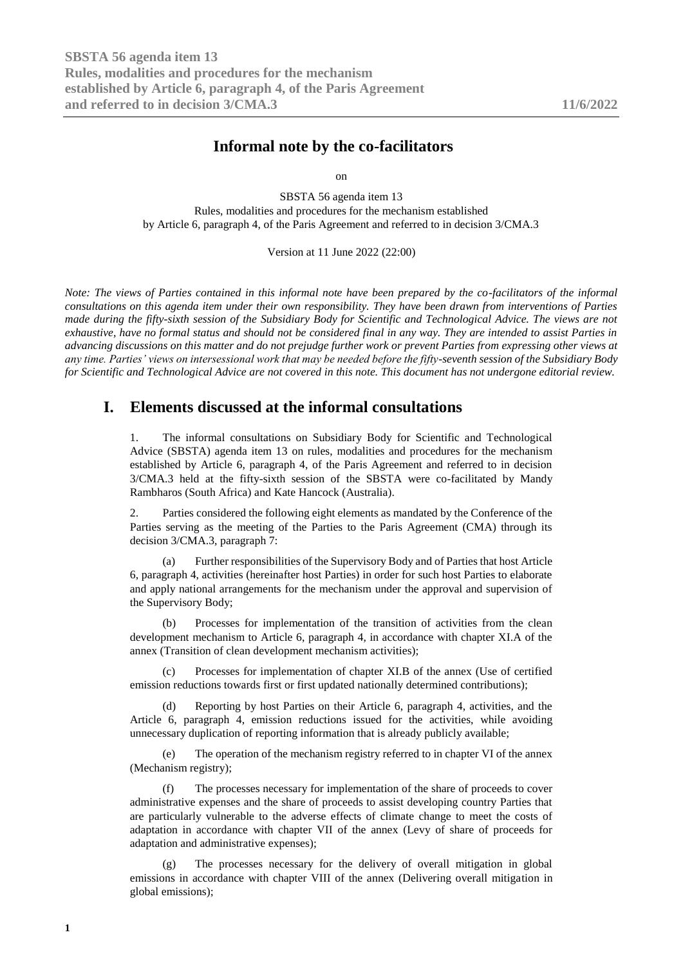# **Informal note by the co-facilitators**

on

SBSTA 56 agenda item 13 Rules, modalities and procedures for the mechanism established by Article 6, paragraph 4, of the Paris Agreement and referred to in decision 3/CMA.3

Version at 11 June 2022 (22:00)

*Note: The views of Parties contained in this informal note have been prepared by the co-facilitators of the informal consultations on this agenda item under their own responsibility. They have been drawn from interventions of Parties made during the fifty-sixth session of the Subsidiary Body for Scientific and Technological Advice. The views are not exhaustive, have no formal status and should not be considered final in any way. They are intended to assist Parties in advancing discussions on this matter and do not prejudge further work or prevent Parties from expressing other views at any time. Parties' views on intersessional work that may be needed before the fifty-seventh session of the Subsidiary Body for Scientific and Technological Advice are not covered in this note. This document has not undergone editorial review.*

## **I. Elements discussed at the informal consultations**

1. The informal consultations on Subsidiary Body for Scientific and Technological Advice (SBSTA) agenda item 13 on rules, modalities and procedures for the mechanism established by Article 6, paragraph 4, of the Paris Agreement and referred to in decision 3/CMA.3 held at the fifty-sixth session of the SBSTA were co-facilitated by Mandy Rambharos (South Africa) and Kate Hancock (Australia).

2. Parties considered the following eight elements as mandated by the Conference of the Parties serving as the meeting of the Parties to the Paris Agreement (CMA) through its decision 3/CMA.3, paragraph 7:

(a) Further responsibilities of the Supervisory Body and of Parties that host Article 6, paragraph 4, activities (hereinafter host Parties) in order for such host Parties to elaborate and apply national arrangements for the mechanism under the approval and supervision of the Supervisory Body;

(b) Processes for implementation of the transition of activities from the clean development mechanism to Article 6, paragraph 4, in accordance with chapter XI.A of the annex (Transition of clean development mechanism activities);

(c) Processes for implementation of chapter XI.B of the annex (Use of certified emission reductions towards first or first updated nationally determined contributions);

(d) Reporting by host Parties on their Article 6, paragraph 4, activities, and the Article 6, paragraph 4, emission reductions issued for the activities, while avoiding unnecessary duplication of reporting information that is already publicly available;

(e) The operation of the mechanism registry referred to in chapter VI of the annex (Mechanism registry);

(f) The processes necessary for implementation of the share of proceeds to cover administrative expenses and the share of proceeds to assist developing country Parties that are particularly vulnerable to the adverse effects of climate change to meet the costs of adaptation in accordance with chapter VII of the annex (Levy of share of proceeds for adaptation and administrative expenses);

(g) The processes necessary for the delivery of overall mitigation in global emissions in accordance with chapter VIII of the annex (Delivering overall mitigation in global emissions);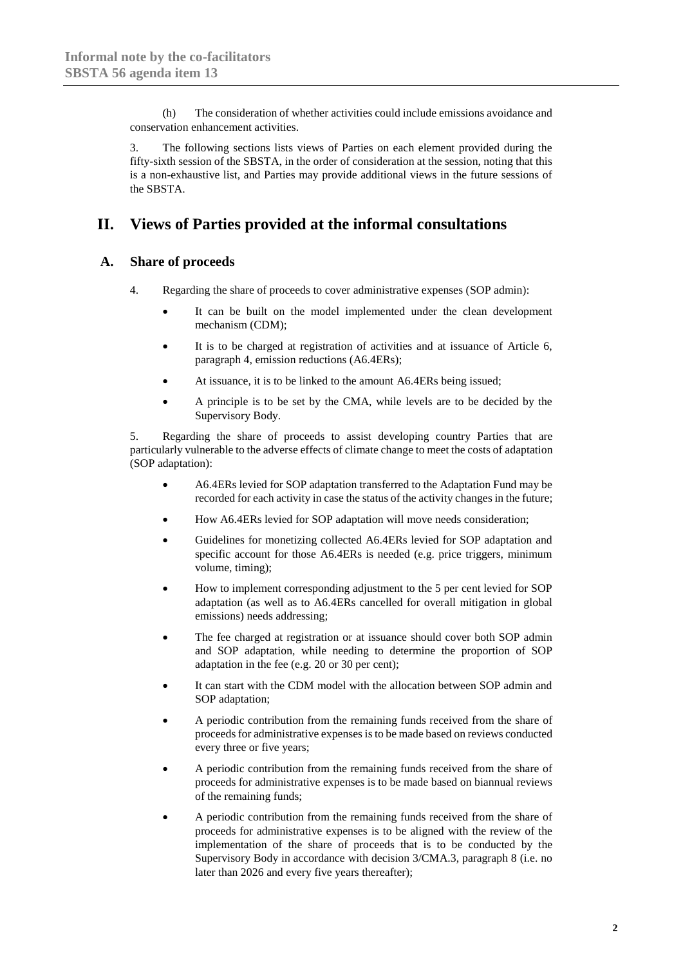(h) The consideration of whether activities could include emissions avoidance and conservation enhancement activities.

3. The following sections lists views of Parties on each element provided during the fifty-sixth session of the SBSTA, in the order of consideration at the session, noting that this is a non-exhaustive list, and Parties may provide additional views in the future sessions of the SBSTA.

# **II. Views of Parties provided at the informal consultations**

## **A. Share of proceeds**

- 4. Regarding the share of proceeds to cover administrative expenses (SOP admin):
	- It can be built on the model implemented under the clean development mechanism (CDM);
	- It is to be charged at registration of activities and at issuance of Article 6, paragraph 4, emission reductions (A6.4ERs);
	- At issuance, it is to be linked to the amount A6.4ERs being issued;
	- A principle is to be set by the CMA, while levels are to be decided by the Supervisory Body.

5. Regarding the share of proceeds to assist developing country Parties that are particularly vulnerable to the adverse effects of climate change to meet the costs of adaptation (SOP adaptation):

- A6.4ERs levied for SOP adaptation transferred to the Adaptation Fund may be recorded for each activity in case the status of the activity changes in the future;
- How A6.4ERs levied for SOP adaptation will move needs consideration;
- Guidelines for monetizing collected A6.4ERs levied for SOP adaptation and specific account for those A6.4ERs is needed (e.g. price triggers, minimum volume, timing);
- How to implement corresponding adjustment to the 5 per cent levied for SOP adaptation (as well as to A6.4ERs cancelled for overall mitigation in global emissions) needs addressing;
- The fee charged at registration or at issuance should cover both SOP admin and SOP adaptation, while needing to determine the proportion of SOP adaptation in the fee (e.g. 20 or 30 per cent);
- It can start with the CDM model with the allocation between SOP admin and SOP adaptation;
- A periodic contribution from the remaining funds received from the share of proceeds for administrative expenses is to be made based on reviews conducted every three or five years;
- A periodic contribution from the remaining funds received from the share of proceeds for administrative expenses is to be made based on biannual reviews of the remaining funds;
- A periodic contribution from the remaining funds received from the share of proceeds for administrative expenses is to be aligned with the review of the implementation of the share of proceeds that is to be conducted by the Supervisory Body in accordance with decision 3/CMA.3, paragraph 8 (i.e. no later than 2026 and every five years thereafter);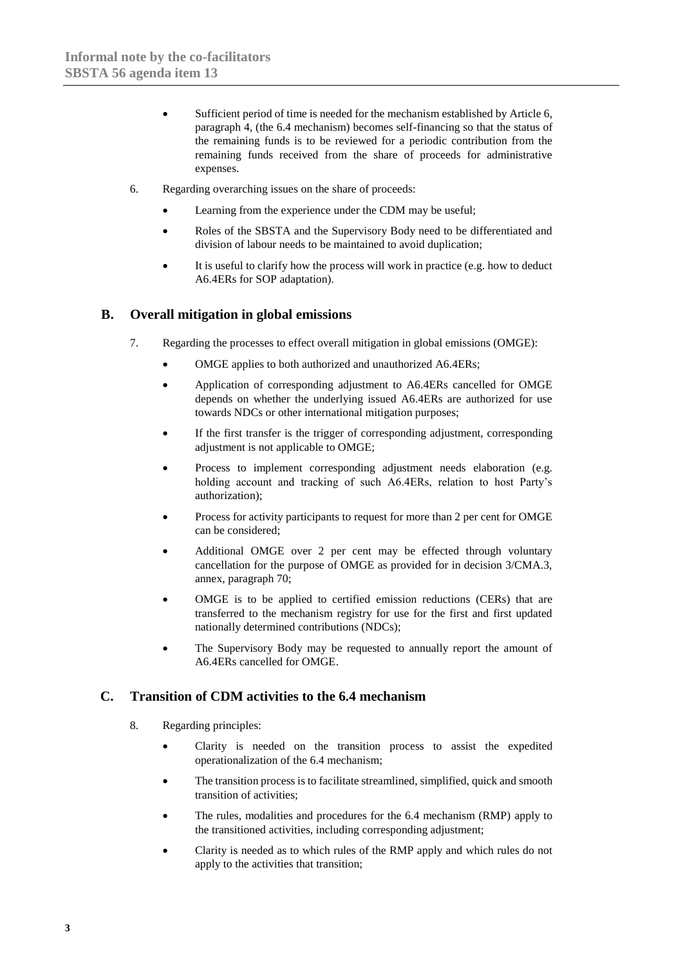- Sufficient period of time is needed for the mechanism established by Article 6, paragraph 4, (the 6.4 mechanism) becomes self-financing so that the status of the remaining funds is to be reviewed for a periodic contribution from the remaining funds received from the share of proceeds for administrative expenses.
- 6. Regarding overarching issues on the share of proceeds:
	- Learning from the experience under the CDM may be useful;
	- Roles of the SBSTA and the Supervisory Body need to be differentiated and division of labour needs to be maintained to avoid duplication;
	- It is useful to clarify how the process will work in practice (e.g. how to deduct A6.4ERs for SOP adaptation).

## **B. Overall mitigation in global emissions**

- 7. Regarding the processes to effect overall mitigation in global emissions (OMGE):
	- OMGE applies to both authorized and unauthorized A6.4ERs;
	- Application of corresponding adjustment to A6.4ERs cancelled for OMGE depends on whether the underlying issued A6.4ERs are authorized for use towards NDCs or other international mitigation purposes;
	- If the first transfer is the trigger of corresponding adjustment, corresponding adjustment is not applicable to OMGE:
	- Process to implement corresponding adjustment needs elaboration (e.g. holding account and tracking of such A6.4ERs, relation to host Party's authorization);
	- Process for activity participants to request for more than 2 per cent for OMGE can be considered;
	- Additional OMGE over 2 per cent may be effected through voluntary cancellation for the purpose of OMGE as provided for in decision 3/CMA.3, annex, paragraph 70;
	- OMGE is to be applied to certified emission reductions (CERs) that are transferred to the mechanism registry for use for the first and first updated nationally determined contributions (NDCs);
	- The Supervisory Body may be requested to annually report the amount of A6.4ERs cancelled for OMGE.

## **C. Transition of CDM activities to the 6.4 mechanism**

- 8. Regarding principles:
	- Clarity is needed on the transition process to assist the expedited operationalization of the 6.4 mechanism;
	- The transition process is to facilitate streamlined, simplified, quick and smooth transition of activities;
	- The rules, modalities and procedures for the 6.4 mechanism (RMP) apply to the transitioned activities, including corresponding adjustment;
	- Clarity is needed as to which rules of the RMP apply and which rules do not apply to the activities that transition;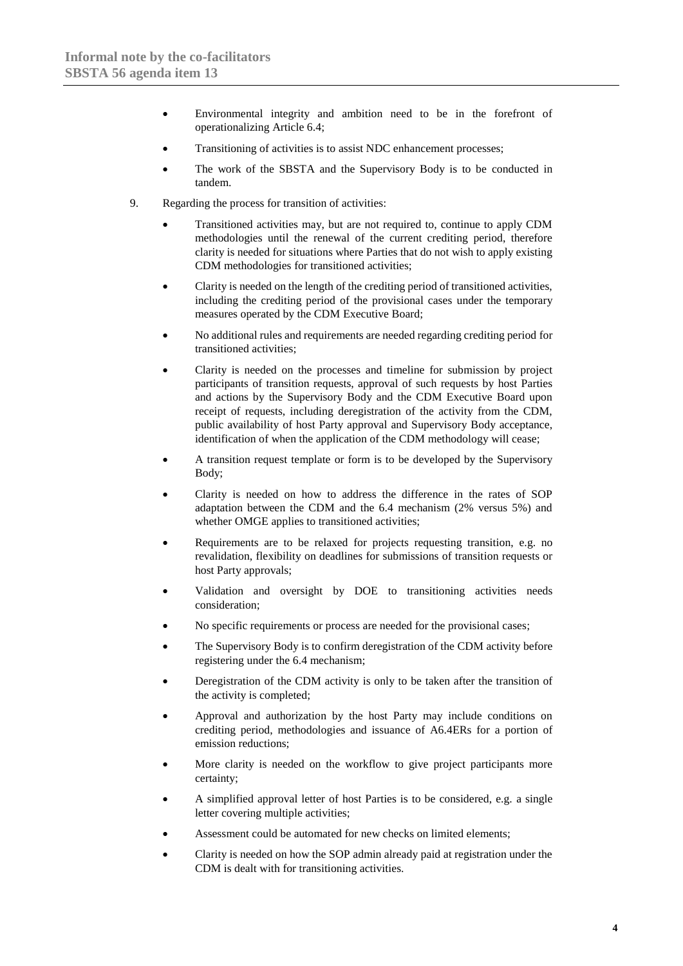- Environmental integrity and ambition need to be in the forefront of operationalizing Article 6.4;
- Transitioning of activities is to assist NDC enhancement processes;
- The work of the SBSTA and the Supervisory Body is to be conducted in tandem.
- 9. Regarding the process for transition of activities:
	- Transitioned activities may, but are not required to, continue to apply CDM methodologies until the renewal of the current crediting period, therefore clarity is needed for situations where Parties that do not wish to apply existing CDM methodologies for transitioned activities;
	- Clarity is needed on the length of the crediting period of transitioned activities, including the crediting period of the provisional cases under the temporary measures operated by the CDM Executive Board;
	- No additional rules and requirements are needed regarding crediting period for transitioned activities;
	- Clarity is needed on the processes and timeline for submission by project participants of transition requests, approval of such requests by host Parties and actions by the Supervisory Body and the CDM Executive Board upon receipt of requests, including deregistration of the activity from the CDM, public availability of host Party approval and Supervisory Body acceptance, identification of when the application of the CDM methodology will cease;
	- A transition request template or form is to be developed by the Supervisory Body;
	- Clarity is needed on how to address the difference in the rates of SOP adaptation between the CDM and the 6.4 mechanism (2% versus 5%) and whether OMGE applies to transitioned activities;
	- Requirements are to be relaxed for projects requesting transition, e.g. no revalidation, flexibility on deadlines for submissions of transition requests or host Party approvals;
	- Validation and oversight by DOE to transitioning activities needs consideration;
	- No specific requirements or process are needed for the provisional cases;
	- The Supervisory Body is to confirm deregistration of the CDM activity before registering under the 6.4 mechanism;
	- Deregistration of the CDM activity is only to be taken after the transition of the activity is completed;
	- Approval and authorization by the host Party may include conditions on crediting period, methodologies and issuance of A6.4ERs for a portion of emission reductions;
	- More clarity is needed on the workflow to give project participants more certainty;
	- A simplified approval letter of host Parties is to be considered, e.g. a single letter covering multiple activities;
	- Assessment could be automated for new checks on limited elements;
	- Clarity is needed on how the SOP admin already paid at registration under the CDM is dealt with for transitioning activities.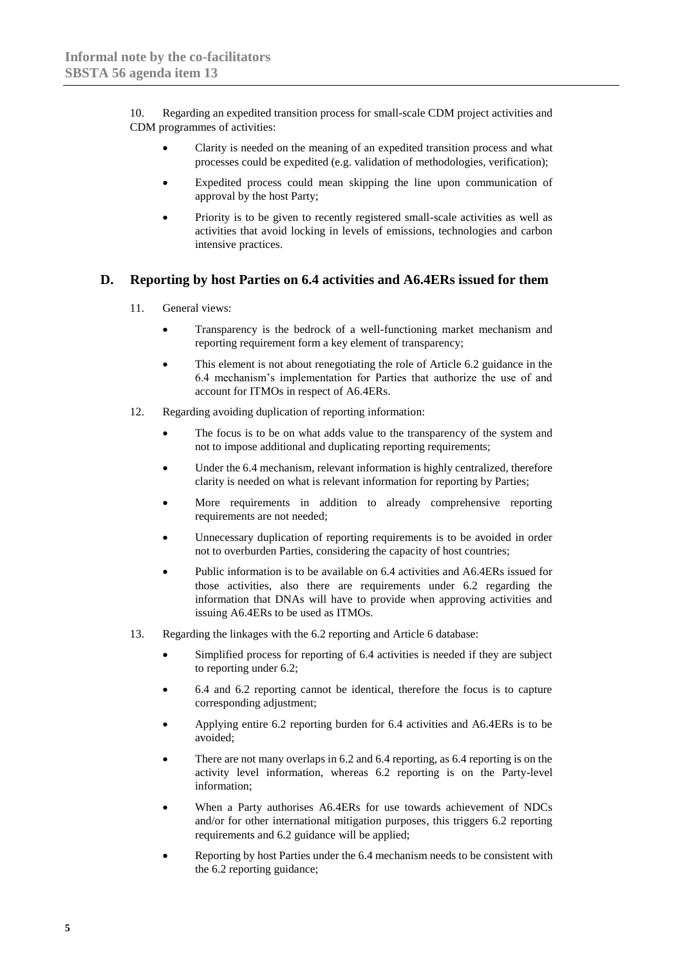10. Regarding an expedited transition process for small-scale CDM project activities and CDM programmes of activities:

- Clarity is needed on the meaning of an expedited transition process and what processes could be expedited (e.g. validation of methodologies, verification);
- Expedited process could mean skipping the line upon communication of approval by the host Party;
- Priority is to be given to recently registered small-scale activities as well as activities that avoid locking in levels of emissions, technologies and carbon intensive practices.

#### **D. Reporting by host Parties on 6.4 activities and A6.4ERs issued for them**

- 11. General views:
	- Transparency is the bedrock of a well-functioning market mechanism and reporting requirement form a key element of transparency;
	- This element is not about renegotiating the role of Article 6.2 guidance in the 6.4 mechanism's implementation for Parties that authorize the use of and account for ITMOs in respect of A6.4ERs.
- 12. Regarding avoiding duplication of reporting information:
	- The focus is to be on what adds value to the transparency of the system and not to impose additional and duplicating reporting requirements;
	- Under the 6.4 mechanism, relevant information is highly centralized, therefore clarity is needed on what is relevant information for reporting by Parties;
	- More requirements in addition to already comprehensive reporting requirements are not needed;
	- Unnecessary duplication of reporting requirements is to be avoided in order not to overburden Parties, considering the capacity of host countries;
	- Public information is to be available on 6.4 activities and A6.4ERs issued for those activities, also there are requirements under 6.2 regarding the information that DNAs will have to provide when approving activities and issuing A6.4ERs to be used as ITMOs.
- 13. Regarding the linkages with the 6.2 reporting and Article 6 database:
	- Simplified process for reporting of 6.4 activities is needed if they are subject to reporting under 6.2;
	- 6.4 and 6.2 reporting cannot be identical, therefore the focus is to capture corresponding adjustment;
	- Applying entire 6.2 reporting burden for 6.4 activities and A6.4ERs is to be avoided;
	- There are not many overlaps in 6.2 and 6.4 reporting, as 6.4 reporting is on the activity level information, whereas 6.2 reporting is on the Party-level information;
	- When a Party authorises A6.4ERs for use towards achievement of NDCs and/or for other international mitigation purposes, this triggers 6.2 reporting requirements and 6.2 guidance will be applied;
	- Reporting by host Parties under the 6.4 mechanism needs to be consistent with the 6.2 reporting guidance;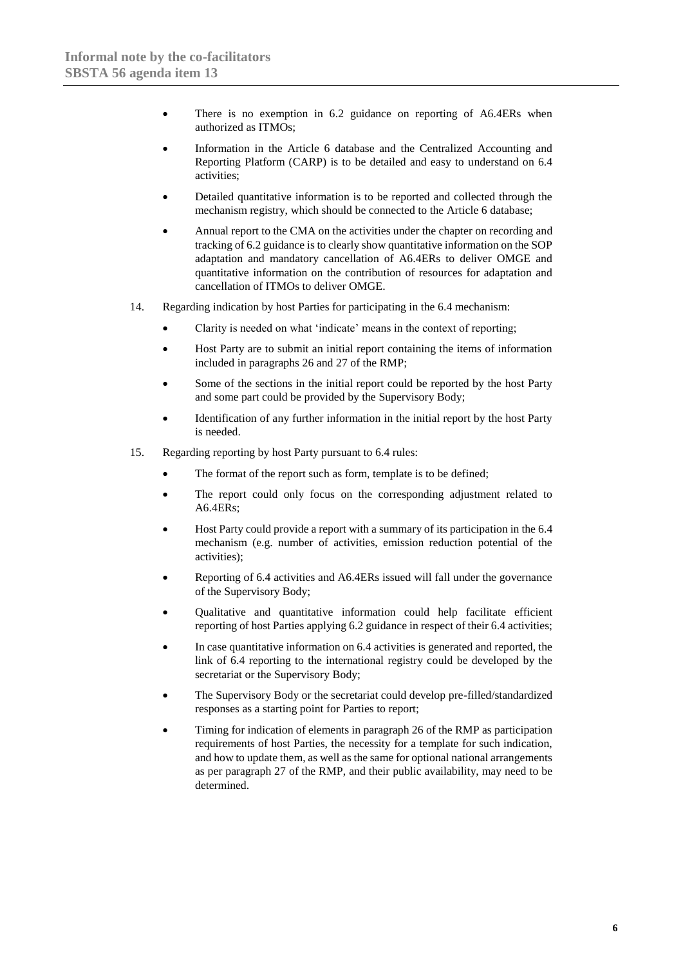- There is no exemption in 6.2 guidance on reporting of A6.4ERs when authorized as ITMOs;
- Information in the Article 6 database and the Centralized Accounting and Reporting Platform (CARP) is to be detailed and easy to understand on 6.4 activities;
- Detailed quantitative information is to be reported and collected through the mechanism registry, which should be connected to the Article 6 database;
- Annual report to the CMA on the activities under the chapter on recording and tracking of 6.2 guidance is to clearly show quantitative information on the SOP adaptation and mandatory cancellation of A6.4ERs to deliver OMGE and quantitative information on the contribution of resources for adaptation and cancellation of ITMOs to deliver OMGE.
- 14. Regarding indication by host Parties for participating in the 6.4 mechanism:
	- Clarity is needed on what 'indicate' means in the context of reporting;
	- Host Party are to submit an initial report containing the items of information included in paragraphs 26 and 27 of the RMP;
	- Some of the sections in the initial report could be reported by the host Party and some part could be provided by the Supervisory Body;
	- Identification of any further information in the initial report by the host Party is needed.
- 15. Regarding reporting by host Party pursuant to 6.4 rules:
	- The format of the report such as form, template is to be defined;
	- The report could only focus on the corresponding adjustment related to A6.4ERs;
	- Host Party could provide a report with a summary of its participation in the 6.4 mechanism (e.g. number of activities, emission reduction potential of the activities);
	- Reporting of 6.4 activities and A6.4ERs issued will fall under the governance of the Supervisory Body;
	- Qualitative and quantitative information could help facilitate efficient reporting of host Parties applying 6.2 guidance in respect of their 6.4 activities;
	- In case quantitative information on 6.4 activities is generated and reported, the link of 6.4 reporting to the international registry could be developed by the secretariat or the Supervisory Body;
	- The Supervisory Body or the secretariat could develop pre-filled/standardized responses as a starting point for Parties to report;
	- Timing for indication of elements in paragraph 26 of the RMP as participation requirements of host Parties, the necessity for a template for such indication, and how to update them, as well as the same for optional national arrangements as per paragraph 27 of the RMP, and their public availability, may need to be determined.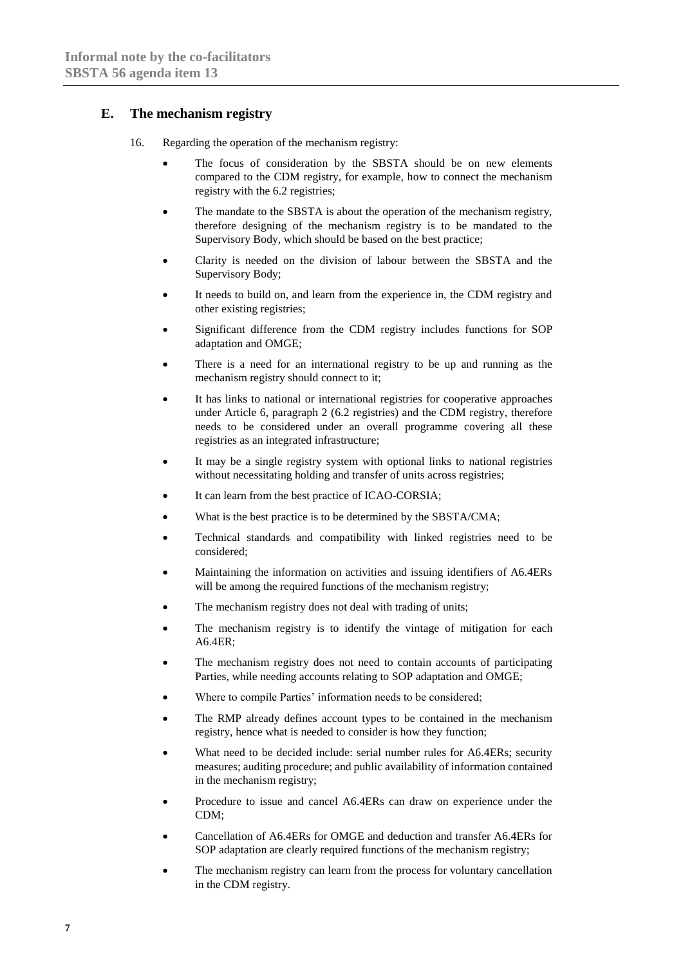## **E. The mechanism registry**

- 16. Regarding the operation of the mechanism registry:
	- The focus of consideration by the SBSTA should be on new elements compared to the CDM registry, for example, how to connect the mechanism registry with the 6.2 registries;
	- The mandate to the SBSTA is about the operation of the mechanism registry, therefore designing of the mechanism registry is to be mandated to the Supervisory Body, which should be based on the best practice;
	- Clarity is needed on the division of labour between the SBSTA and the Supervisory Body;
	- It needs to build on, and learn from the experience in, the CDM registry and other existing registries;
	- Significant difference from the CDM registry includes functions for SOP adaptation and OMGE;
	- There is a need for an international registry to be up and running as the mechanism registry should connect to it;
	- It has links to national or international registries for cooperative approaches under Article 6, paragraph 2 (6.2 registries) and the CDM registry, therefore needs to be considered under an overall programme covering all these registries as an integrated infrastructure;
	- It may be a single registry system with optional links to national registries without necessitating holding and transfer of units across registries;
	- It can learn from the best practice of ICAO-CORSIA;
	- What is the best practice is to be determined by the SBSTA/CMA;
	- Technical standards and compatibility with linked registries need to be considered;
	- Maintaining the information on activities and issuing identifiers of A6.4ERs will be among the required functions of the mechanism registry;
	- The mechanism registry does not deal with trading of units;
	- The mechanism registry is to identify the vintage of mitigation for each A6.4ER;
	- The mechanism registry does not need to contain accounts of participating Parties, while needing accounts relating to SOP adaptation and OMGE;
	- Where to compile Parties' information needs to be considered;
	- The RMP already defines account types to be contained in the mechanism registry, hence what is needed to consider is how they function;
	- What need to be decided include: serial number rules for A6.4ERs; security measures; auditing procedure; and public availability of information contained in the mechanism registry;
	- Procedure to issue and cancel A6.4ERs can draw on experience under the CDM;
	- Cancellation of A6.4ERs for OMGE and deduction and transfer A6.4ERs for SOP adaptation are clearly required functions of the mechanism registry;
	- The mechanism registry can learn from the process for voluntary cancellation in the CDM registry.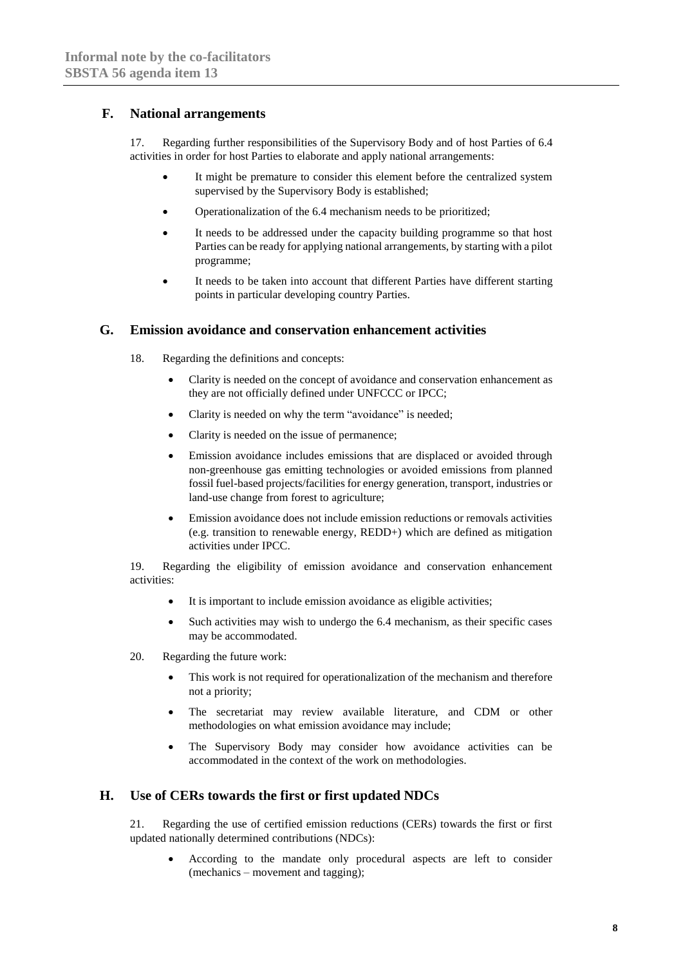## **F. National arrangements**

17. Regarding further responsibilities of the Supervisory Body and of host Parties of 6.4 activities in order for host Parties to elaborate and apply national arrangements:

- It might be premature to consider this element before the centralized system supervised by the Supervisory Body is established;
- Operationalization of the 6.4 mechanism needs to be prioritized;
- It needs to be addressed under the capacity building programme so that host Parties can be ready for applying national arrangements, by starting with a pilot programme;
- It needs to be taken into account that different Parties have different starting points in particular developing country Parties.

#### **G. Emission avoidance and conservation enhancement activities**

- 18. Regarding the definitions and concepts:
	- Clarity is needed on the concept of avoidance and conservation enhancement as they are not officially defined under UNFCCC or IPCC;
	- Clarity is needed on why the term "avoidance" is needed;
	- Clarity is needed on the issue of permanence;
	- Emission avoidance includes emissions that are displaced or avoided through non-greenhouse gas emitting technologies or avoided emissions from planned fossil fuel-based projects/facilities for energy generation, transport, industries or land-use change from forest to agriculture;
	- Emission avoidance does not include emission reductions or removals activities (e.g. transition to renewable energy, REDD+) which are defined as mitigation activities under IPCC.

19. Regarding the eligibility of emission avoidance and conservation enhancement activities:

- It is important to include emission avoidance as eligible activities;
- Such activities may wish to undergo the 6.4 mechanism, as their specific cases may be accommodated.
- 20. Regarding the future work:
	- This work is not required for operationalization of the mechanism and therefore not a priority;
	- The secretariat may review available literature, and CDM or other methodologies on what emission avoidance may include;
	- The Supervisory Body may consider how avoidance activities can be accommodated in the context of the work on methodologies.

## **H. Use of CERs towards the first or first updated NDCs**

21. Regarding the use of certified emission reductions (CERs) towards the first or first updated nationally determined contributions (NDCs):

• According to the mandate only procedural aspects are left to consider (mechanics – movement and tagging);